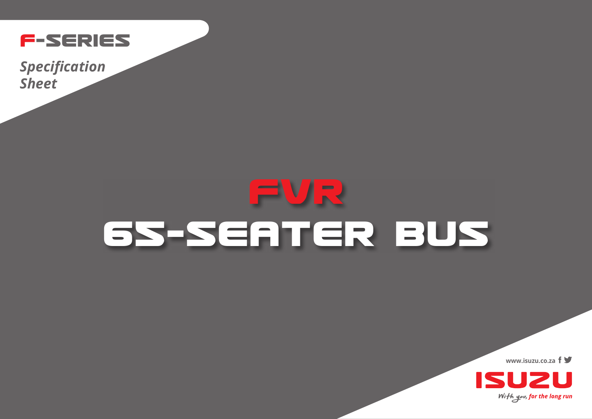

*Specification Sheet*

## **FVR 65-SEATER BUS**

**www.isuzu.co.za**